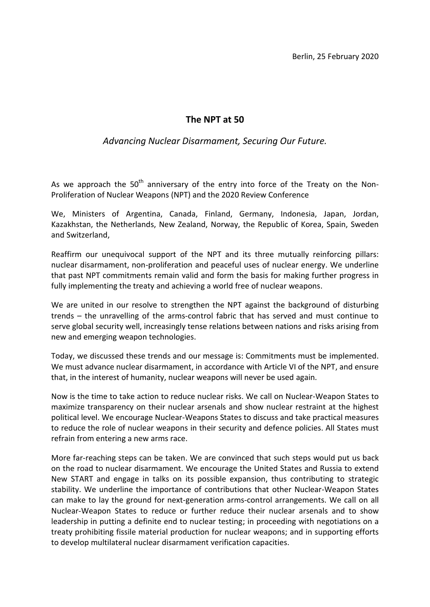## **The NPT at 50**

## *Advancing Nuclear Disarmament, Securing Our Future.*

As we approach the  $50<sup>th</sup>$  anniversary of the entry into force of the Treaty on the Non-Proliferation of Nuclear Weapons (NPT) and the 2020 Review Conference

We, Ministers of Argentina, Canada, Finland, Germany, Indonesia, Japan, Jordan, Kazakhstan, the Netherlands, New Zealand, Norway, the Republic of Korea, Spain, Sweden and Switzerland,

Reaffirm our unequivocal support of the NPT and its three mutually reinforcing pillars: nuclear disarmament, non-proliferation and peaceful uses of nuclear energy. We underline that past NPT commitments remain valid and form the basis for making further progress in fully implementing the treaty and achieving a world free of nuclear weapons.

We are united in our resolve to strengthen the NPT against the background of disturbing trends – the unravelling of the arms-control fabric that has served and must continue to serve global security well, increasingly tense relations between nations and risks arising from new and emerging weapon technologies.

Today, we discussed these trends and our message is: Commitments must be implemented. We must advance nuclear disarmament, in accordance with Article VI of the NPT, and ensure that, in the interest of humanity, nuclear weapons will never be used again.

Now is the time to take action to reduce nuclear risks. We call on Nuclear-Weapon States to maximize transparency on their nuclear arsenals and show nuclear restraint at the highest political level. We encourage Nuclear-Weapons States to discuss and take practical measures to reduce the role of nuclear weapons in their security and defence policies. All States must refrain from entering a new arms race.

More far-reaching steps can be taken. We are convinced that such steps would put us back on the road to nuclear disarmament. We encourage the United States and Russia to extend New START and engage in talks on its possible expansion, thus contributing to strategic stability. We underline the importance of contributions that other Nuclear-Weapon States can make to lay the ground for next-generation arms-control arrangements. We call on all Nuclear-Weapon States to reduce or further reduce their nuclear arsenals and to show leadership in putting a definite end to nuclear testing; in proceeding with negotiations on a treaty prohibiting fissile material production for nuclear weapons; and in supporting efforts to develop multilateral nuclear disarmament verification capacities.